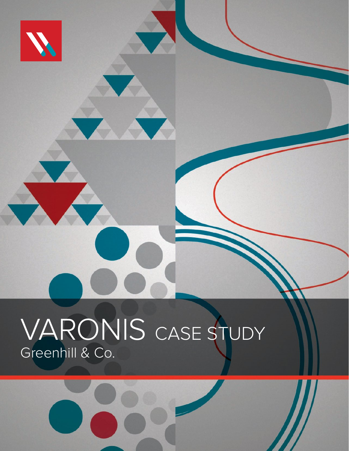

# VARONIS CASE STUDY Greenhill & Co.

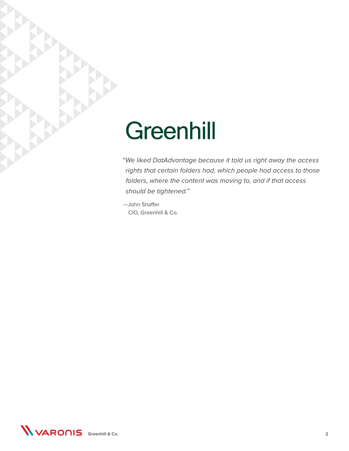# **Greenhill**

"We liked DatAdvantage because it told us right away the access rights that certain folders had, which people had access to those folders, where the content was moving to, and if that access should be tightened."

—John Shaffer CIO, Greenhill & Co.

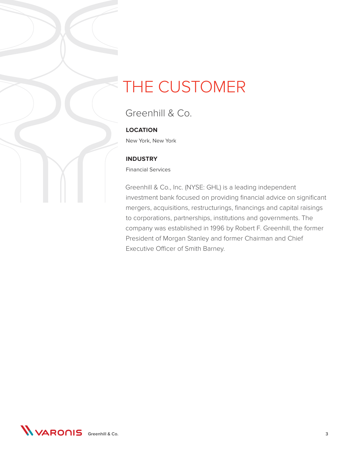### THE CUSTOMER

### Greenhill & Co.

#### **LOCATION**

New York, New York

#### **INDUSTRY**

Financial Services

Greenhill & Co., Inc. (NYSE: GHL) is a leading independent investment bank focused on providing financial advice on significant mergers, acquisitions, restructurings, financings and capital raisings to corporations, partnerships, institutions and governments. The company was established in 1996 by Robert F. Greenhill, the former President of Morgan Stanley and former Chairman and Chief Executive Officer of Smith Barney.

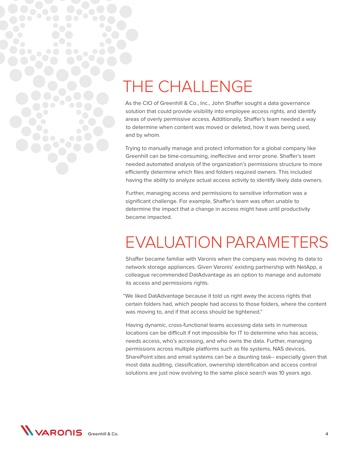### THE CHALLENGE

As the CIO of Greenhill & Co., Inc., John Shaffer sought a data governance solution that could provide visibility into employee access rights, and identify areas of overly permissive access. Additionally, Shaffer's team needed a way to determine when content was moved or deleted, how it was being used, and by whom.

Trying to manually manage and protect information for a global company like Greenhill can be time-consuming, ineffective and error prone. Shaffer's team needed automated analysis of the organization's permissions structure to more efficiently determine which files and folders required owners. This included having the ability to analyze actual access activity to identify likely data owners.

Further, managing access and permissions to sensitive information was a significant challenge. For example, Shaffer's team was often unable to determine the impact that a change in access might have until productivity became impacted.

### EVALUATION PARAMETERS

Shaffer became familiar with Varonis when the company was moving its data to network storage appliances. Given Varonis' existing partnership with NetApp, a colleague recommended DatAdvantage as an option to manage and automate its access and permissions rights.

"We liked DatAdvantage because it told us right away the access rights that certain folders had, which people had access to those folders, where the content was moving to, and if that access should be tightened."

Having dynamic, cross-functional teams accessing data sets in numerous locations can be difficult if not impossible for IT to determine who has access, needs access, who's accessing, and who owns the data. Further, managing permissions across multiple platforms such as file systems, NAS devices, SharePoint sites and email systems can be a daunting task-- especially given that most data auditing, classification, ownership identification and access control solutions are just now evolving to the same place search was 10 years ago.

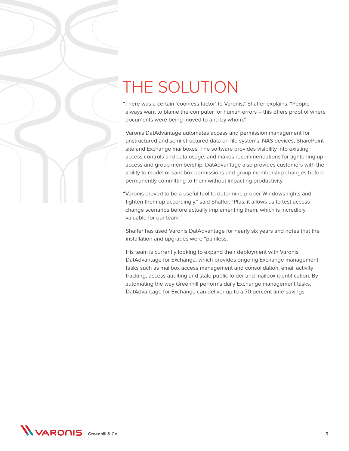## THE SOLUTION

"There was a certain 'coolness factor' to Varonis," Shaffer explains. "People always want to blame the computer for human errors – this offers proof of where documents were being moved to and by whom."

Varonis DatAdvantage automates access and permission management for unstructured and semi-structured data on file systems, NAS devices, SharePoint site and Exchange mailboxes. The software provides visibility into existing access controls and data usage, and makes recommendations for tightening up access and group membership. DatAdvantage also provides customers with the ability to model or sandbox permissions and group membership changes before permanently committing to them without impacting productivity.

"Varonis proved to be a useful tool to determine proper Windows rights and tighten them up accordingly," said Shaffer. "Plus, it allows us to test access change scenarios before actually implementing them, which is incredibly valuable for our team."

Shaffer has used Varonis DatAdvantage for nearly six years and notes that the installation and upgrades were "painless."

His team is currently looking to expand their deployment with Varonis DatAdvantage for Exchange, which provides ongoing Exchange management tasks such as mailbox access management and consolidation, email activity tracking, access auditing and stale public folder and mailbox identification. By automating the way Greenhill performs daily Exchange management tasks, DatAdvantage for Exchange can deliver up to a 70 percent time-savings.

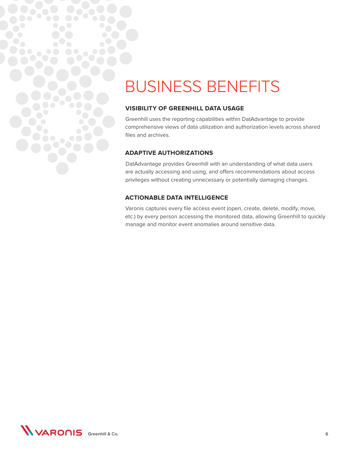## BUSINESS BENEFITS

#### **VISIBILITY OF GREENHILL DATA USAGE**

Greenhill uses the reporting capabilities within DatAdvantage to provide comprehensive views of data utilization and authorization levels across shared files and archives.

#### **ADAPTIVE AUTHORIZATIONS**

DatAdvantage provides Greenhill with an understanding of what data users are actually accessing and using, and offers recommendations about access privileges without creating unnecessary or potentially damaging changes.

#### **ACTIONABLE DATA INTELLIGENCE**

Varonis captures every file access event (open, create, delete, modify, move, etc.) by every person accessing the monitored data, allowing Greenhill to quickly manage and monitor event anomalies around sensitive data.